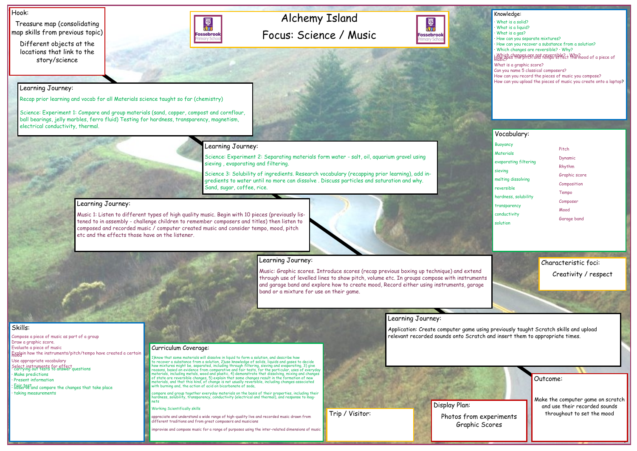## Alchemy Island Focus: Science / Music



#### Hook:

Treasure map (consolidating map skills from previous topic)

Different objects at the locations that link to the story/science



Outcome:

Make the computer game on scratch and use their recorded sounds throughout to set the mood

- What is a solid?
- What is a liquid?
- · What is a gas?
- How can you separate mixtures?
- · How can you recover a substance from a solution?
- · Which changes are reversible? · Why?

: Which changes are not reversible? : Why? nood of a piece of

#### Knowledge:

Compose a piece of music as part of a group Draw a graphic score. Evaluate a piece of music Explain how the instruments/pitch/tempo have created a certain What is a graphic score?

Can you name 5 classical composers?

How can you record the pieces of music you compose?

How can you upload the pieces of music you create onto a laptop?

#### Skills:

Use appropriate vocabulary

- Select instruments for effect · carrying out tests to answer questions
- · Make predictions
- · Present information
- : Fair test<br>· 5bserve and compare the changes that take place · taking measurements

## Learning Journey:

Recap prior learning and vocab for all Materials science taught so far (chemistry)

Science: Experiment 1: Compare and group materials (sand, copper, compost and cornflour, ball bearings, jelly marbles, ferro fluid) Testing for hardness, transparency, magnetism, electrical conductivity, thermal.

## Learning Journey:

Science: Experiment 2: Separating materials form water - salt, oil, aquarium gravel using sieving , evaporating and filtering.

1)know that some materials will dissolve in liquid to form a solution, and describe how<br>to recover a substance from a solution, 2)use knowledge of solids, liquids and gases to decide<br>how mixtures might be, separated, inclu materials, including metals, wood and plastic, 4) demonstrate that dissolving, mixing and changes of state are reversible changes, 5) explain that some changes result in the formation of new materials, and that this kind, of change is not usually reversible, including changes associated with burning and, the action of acid on bicarbonate of soda,

Science 3: Solubility of ingredients. Research vocabulary (recapping prior learning), add ingredients to water until no more can dissolve . Discuss particles and saturation and why. Sand, sugar, coffee, rice.

## Learning Journey:

Music 1: Listen to different types of high quality music. Begin with 10 pieces (previously listened to in assembly - challenge children to remember composers and titles) then listen to composed and recorded music / computer created music and consider tempo, mood, pitch etc and the effects those have on the listener.



### Learning Journey:

Music: Graphic scores. Introduce scores (recap previous boxing up technique) and extend through use of levelled lines to show pitch, volume etc. In groups compose with instruments and garage band and explore how to create mood, Record either using instruments, garage band or a mixture for use on their game.

### Learning Journey:

Application: Create computer game using previously taught Scratch skills and upload relevant recorded sounds onto Scratch and insert them to appropriate times.

#### Curriculum Coverage:

compare and group together everyday materials on the basis of their properties, including their hardness, solubility, transparency, conductivity (electrical and thermal), and response to mag-nets

#### Working Scientifically skills

appreciate and understand a wide range of high-quality live and recorded music drawn from different traditions and from great composers and musicians

improvise and compose music for a range of purposes using the inter-related dimensions of music

### Vocabulary:

Buoyancy **Materials** evaporating filtering sieving melting dissolving reversible hardness, solubility transparency conductivity solution

Display Plan: Photos from experiments Graphic Scores



Characteristic foci: Creativity / respect

#### Pitch

Dynamic

- Rhythm
- Graphic score
- Composition
- Tempo
- Composer
- Mood
- Garage band